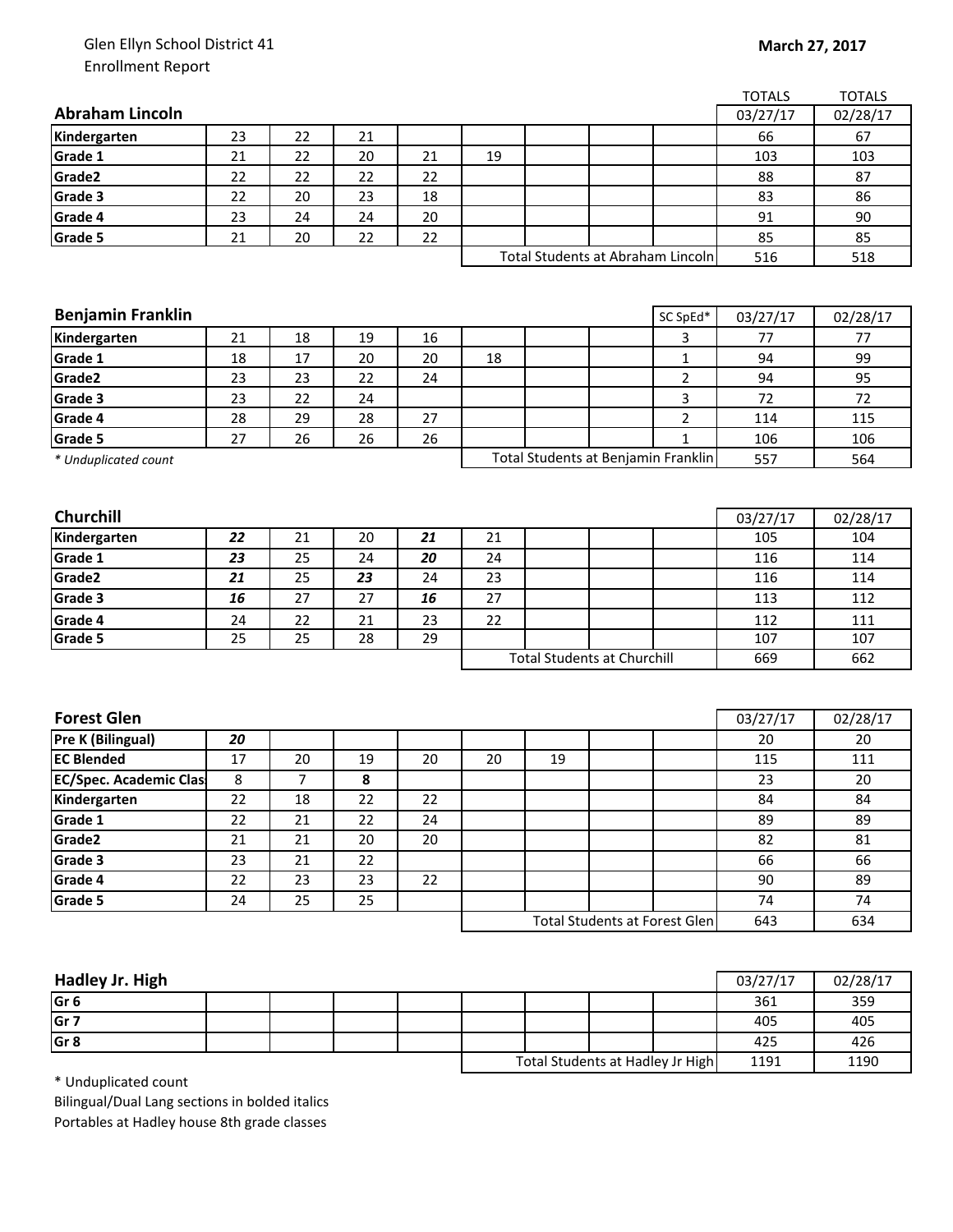## Glen Ellyn School District 41 Enrollment Report

|                               |    |    |    |    |    |    |                                      |                | <b>TOTALS</b> | <b>TOTALS</b> |
|-------------------------------|----|----|----|----|----|----|--------------------------------------|----------------|---------------|---------------|
| <b>Abraham Lincoln</b>        |    |    |    |    |    |    |                                      |                | 03/27/17      | 02/28/17      |
| Kindergarten                  | 23 | 22 | 21 |    |    |    |                                      |                | 66            | 67            |
| Grade 1                       | 21 | 22 | 20 | 21 | 19 |    |                                      |                | 103           | 103           |
| Grade2                        | 22 | 22 | 22 | 22 |    |    |                                      |                | 88            | 87            |
| Grade 3                       | 22 | 20 | 23 | 18 |    |    |                                      |                | 83            | 86            |
| Grade 4                       | 23 | 24 | 24 | 20 |    |    |                                      |                | 91            | 90            |
| Grade 5                       | 21 | 20 | 22 | 22 |    |    |                                      |                | 85            | 85            |
|                               |    |    |    |    |    |    | Total Students at Abraham Lincoln    |                | 516           | 518           |
|                               |    |    |    |    |    |    |                                      |                |               |               |
|                               |    |    |    |    |    |    |                                      |                |               |               |
| <b>Benjamin Franklin</b>      |    |    |    |    |    |    |                                      | SC SpEd*       | 03/27/17      | 02/28/17      |
| Kindergarten                  | 21 | 18 | 19 | 16 |    |    |                                      | 3              | 77            | 77            |
| Grade 1                       | 18 | 17 | 20 | 20 | 18 |    |                                      | $\mathbf{1}$   | 94            | 99            |
| Grade2                        | 23 | 23 | 22 | 24 |    |    |                                      | $\overline{2}$ | 94            | 95            |
| Grade 3                       | 23 | 22 | 24 |    |    |    |                                      | 3              | 72            | 72            |
| Grade 4                       | 28 | 29 | 28 | 27 |    |    |                                      | $\overline{2}$ | 114           | 115           |
| Grade 5                       | 27 | 26 | 26 | 26 |    |    |                                      | $\mathbf{1}$   | 106           | 106           |
| * Unduplicated count          |    |    |    |    |    |    | Total Students at Benjamin Franklin  |                | 557           | 564           |
|                               |    |    |    |    |    |    |                                      |                |               |               |
|                               |    |    |    |    |    |    |                                      |                |               |               |
| Churchill                     |    |    |    |    |    |    |                                      |                | 03/27/17      | 02/28/17      |
| Kindergarten                  | 22 | 21 | 20 | 21 | 21 |    |                                      |                | 105           | 104           |
| Grade 1                       | 23 | 25 | 24 | 20 | 24 |    |                                      |                | 116           | 114           |
| Grade2                        | 21 | 25 | 23 | 24 | 23 |    |                                      |                | 116           | 114           |
| Grade 3                       | 16 | 27 | 27 | 16 | 27 |    |                                      |                | 113           | 112           |
| Grade 4                       | 24 | 22 | 21 | 23 | 22 |    |                                      |                | 112           | 111           |
| Grade 5                       | 25 | 25 | 28 | 29 |    |    |                                      |                | 107           | 107           |
|                               |    |    |    |    |    |    | <b>Total Students at Churchill</b>   |                | 669           | 662           |
|                               |    |    |    |    |    |    |                                      |                |               |               |
| <b>Forest Glen</b>            |    |    |    |    |    |    |                                      |                | 03/27/17      | 02/28/17      |
| Pre K (Bilingual)             | 20 |    |    |    |    |    |                                      |                | 20            | 20            |
| <b>EC Blended</b>             | 17 | 20 | 19 | 20 | 20 | 19 |                                      |                | 115           | 111           |
| <b>EC/Spec. Academic Clas</b> | 8  | 7  | 8  |    |    |    |                                      |                | 23            | 20            |
| Kindergarten                  | 22 | 18 | 22 | 22 |    |    |                                      |                | 84            | 84            |
| Grade 1                       | 22 | 21 | 22 | 24 |    |    |                                      |                | 89            | 89            |
| Grade2                        | 21 | 21 | 20 | 20 |    |    |                                      |                | 82            | 81            |
| Grade 3                       | 23 | 21 | 22 |    |    |    |                                      |                | 66            | 66            |
| Grade 4                       | 22 | 23 | 23 | 22 |    |    |                                      |                | 90            | 89            |
| Grade 5                       | 24 | 25 | 25 |    |    |    |                                      |                | 74            | 74            |
|                               |    |    |    |    |    |    | <b>Total Students at Forest Glen</b> |                | 643           | 634           |
|                               |    |    |    |    |    |    |                                      |                |               |               |

| Hadley Jr. High |  |                                  |  |  |      | 03/27/17 | 02/28/17 |
|-----------------|--|----------------------------------|--|--|------|----------|----------|
| Gr <sub>6</sub> |  |                                  |  |  |      | 361      | 359      |
| Gr <sub>7</sub> |  |                                  |  |  |      | 405      | 405      |
| Gr <sub>8</sub> |  |                                  |  |  |      | 425      | 426      |
|                 |  | Total Students at Hadley Jr High |  |  | 1191 | 1190     |          |

\* Unduplicated count

Bilingual/Dual Lang sections in bolded italics Portables at Hadley house 8th grade classes